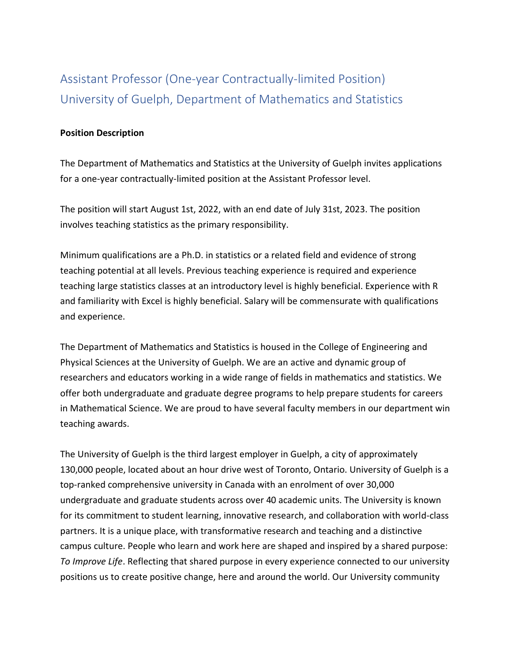## Assistant Professor (One-year Contractually-limited Position) University of Guelph, Department of Mathematics and Statistics

## **Position Description**

The Department of Mathematics and Statistics at the University of Guelph invites applications for a one-year contractually-limited position at the Assistant Professor level.

The position will start August 1st, 2022, with an end date of July 31st, 2023. The position involves teaching statistics as the primary responsibility.

Minimum qualifications are a Ph.D. in statistics or a related field and evidence of strong teaching potential at all levels. Previous teaching experience is required and experience teaching large statistics classes at an introductory level is highly beneficial. Experience with R and familiarity with Excel is highly beneficial. Salary will be commensurate with qualifications and experience.

The Department of Mathematics and Statistics is housed in the College of Engineering and Physical Sciences at the University of Guelph. We are an active and dynamic group of researchers and educators working in a wide range of fields in mathematics and statistics. We offer both undergraduate and graduate degree programs to help prepare students for careers in Mathematical Science. We are proud to have several faculty members in our department win teaching awards.

The University of Guelph is the third largest employer in Guelph, a city of approximately 130,000 people, located about an hour drive west of Toronto, Ontario. University of Guelph is a top-ranked comprehensive university in Canada with an enrolment of over 30,000 undergraduate and graduate students across over 40 academic units. The University is known for its commitment to student learning, innovative research, and collaboration with world-class partners. It is a unique place, with transformative research and teaching and a distinctive campus culture. People who learn and work here are shaped and inspired by a shared purpose: *To Improve Life*. Reflecting that shared purpose in every experience connected to our university positions us to create positive change, here and around the world. Our University community